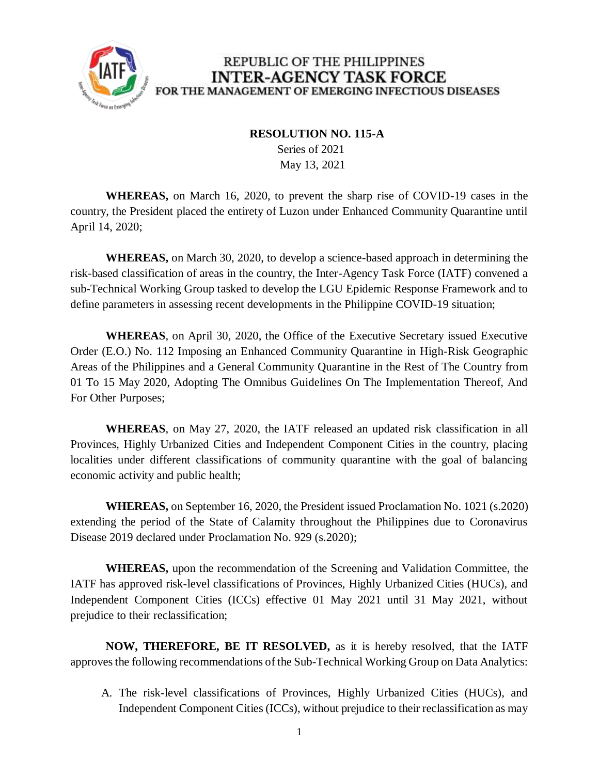

## REPUBLIC OF THE PHILIPPINES **INTER-AGENCY TASK FORCE** FOR THE MANAGEMENT OF EMERGING INFECTIOUS DISEASES

## **RESOLUTION NO. 115-A**

 Series of 2021 May 13, 2021

**WHEREAS,** on March 16, 2020, to prevent the sharp rise of COVID-19 cases in the country, the President placed the entirety of Luzon under Enhanced Community Quarantine until April 14, 2020;

**WHEREAS,** on March 30, 2020, to develop a science-based approach in determining the risk-based classification of areas in the country, the Inter-Agency Task Force (IATF) convened a sub-Technical Working Group tasked to develop the LGU Epidemic Response Framework and to define parameters in assessing recent developments in the Philippine COVID-19 situation;

**WHEREAS**, on April 30, 2020, the Office of the Executive Secretary issued Executive Order (E.O.) No. 112 Imposing an Enhanced Community Quarantine in High-Risk Geographic Areas of the Philippines and a General Community Quarantine in the Rest of The Country from 01 To 15 May 2020, Adopting The Omnibus Guidelines On The Implementation Thereof, And For Other Purposes;

**WHEREAS**, on May 27, 2020, the IATF released an updated risk classification in all Provinces, Highly Urbanized Cities and Independent Component Cities in the country, placing localities under different classifications of community quarantine with the goal of balancing economic activity and public health;

**WHEREAS,** on September 16, 2020, the President issued Proclamation No. 1021 (s.2020) extending the period of the State of Calamity throughout the Philippines due to Coronavirus Disease 2019 declared under Proclamation No. 929 (s.2020);

**WHEREAS,** upon the recommendation of the Screening and Validation Committee, the IATF has approved risk-level classifications of Provinces, Highly Urbanized Cities (HUCs), and Independent Component Cities (ICCs) effective 01 May 2021 until 31 May 2021, without prejudice to their reclassification;

**NOW, THEREFORE, BE IT RESOLVED,** as it is hereby resolved, that the IATF approves the following recommendations of the Sub-Technical Working Group on Data Analytics:

A. The risk-level classifications of Provinces, Highly Urbanized Cities (HUCs), and Independent Component Cities (ICCs), without prejudice to their reclassification as may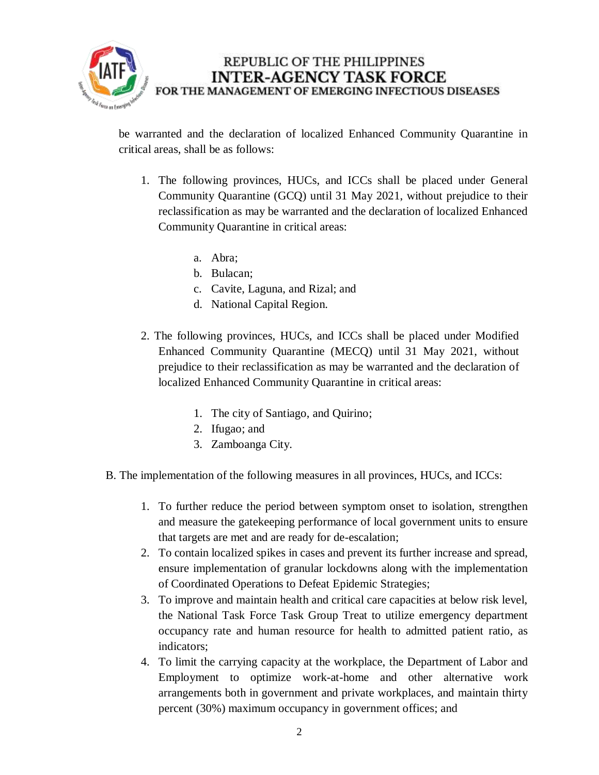

REPUBLIC OF THE PHILIPPINES **INTER-AGENCY TASK FORCE** FOR THE MANAGEMENT OF EMERGING INFECTIOUS DISEASES

be warranted and the declaration of localized Enhanced Community Quarantine in critical areas, shall be as follows:

- 1. The following provinces, HUCs, and ICCs shall be placed under General Community Quarantine (GCQ) until 31 May 2021, without prejudice to their reclassification as may be warranted and the declaration of localized Enhanced Community Quarantine in critical areas:
	- a. Abra;
	- b. Bulacan;
	- c. Cavite, Laguna, and Rizal; and
	- d. National Capital Region.
- 2. The following provinces, HUCs, and ICCs shall be placed under Modified Enhanced Community Quarantine (MECQ) until 31 May 2021, without prejudice to their reclassification as may be warranted and the declaration of localized Enhanced Community Quarantine in critical areas:
	- 1. The city of Santiago, and Quirino;
	- 2. Ifugao; and
	- 3. Zamboanga City.
- B. The implementation of the following measures in all provinces, HUCs, and ICCs:
	- 1. To further reduce the period between symptom onset to isolation, strengthen and measure the gatekeeping performance of local government units to ensure that targets are met and are ready for de-escalation;
	- 2. To contain localized spikes in cases and prevent its further increase and spread, ensure implementation of granular lockdowns along with the implementation of Coordinated Operations to Defeat Epidemic Strategies;
	- 3. To improve and maintain health and critical care capacities at below risk level, the National Task Force Task Group Treat to utilize emergency department occupancy rate and human resource for health to admitted patient ratio, as indicators;
	- 4. To limit the carrying capacity at the workplace, the Department of Labor and Employment to optimize work-at-home and other alternative work arrangements both in government and private workplaces, and maintain thirty percent (30%) maximum occupancy in government offices; and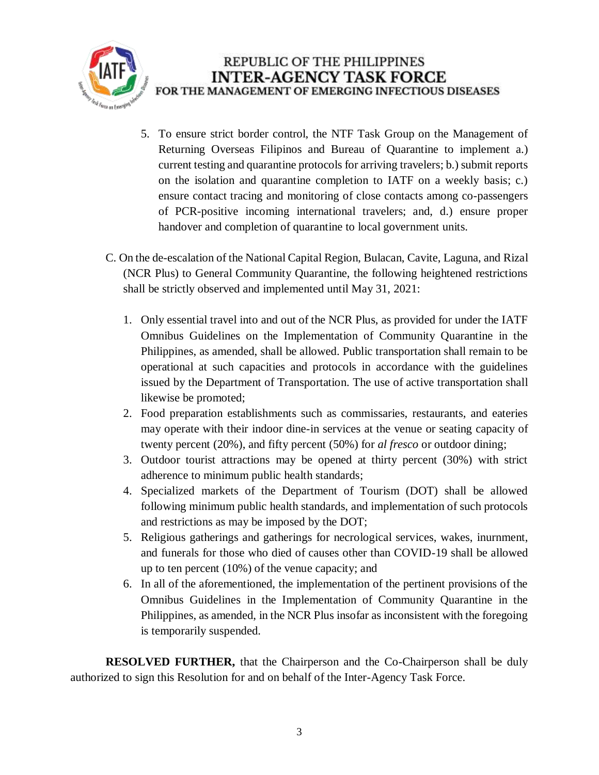

- 5. To ensure strict border control, the NTF Task Group on the Management of Returning Overseas Filipinos and Bureau of Quarantine to implement a.) current testing and quarantine protocols for arriving travelers; b.) submit reports on the isolation and quarantine completion to IATF on a weekly basis; c.) ensure contact tracing and monitoring of close contacts among co-passengers of PCR-positive incoming international travelers; and, d.) ensure proper handover and completion of quarantine to local government units.
- C. On the de-escalation of the National Capital Region, Bulacan, Cavite, Laguna, and Rizal (NCR Plus) to General Community Quarantine, the following heightened restrictions shall be strictly observed and implemented until May 31, 2021:
	- 1. Only essential travel into and out of the NCR Plus, as provided for under the IATF Omnibus Guidelines on the Implementation of Community Quarantine in the Philippines, as amended, shall be allowed. Public transportation shall remain to be operational at such capacities and protocols in accordance with the guidelines issued by the Department of Transportation. The use of active transportation shall likewise be promoted;
	- 2. Food preparation establishments such as commissaries, restaurants, and eateries may operate with their indoor dine-in services at the venue or seating capacity of twenty percent (20%), and fifty percent (50%) for *al fresco* or outdoor dining;
	- 3. Outdoor tourist attractions may be opened at thirty percent (30%) with strict adherence to minimum public health standards;
	- 4. Specialized markets of the Department of Tourism (DOT) shall be allowed following minimum public health standards, and implementation of such protocols and restrictions as may be imposed by the DOT;
	- 5. Religious gatherings and gatherings for necrological services, wakes, inurnment, and funerals for those who died of causes other than COVID-19 shall be allowed up to ten percent (10%) of the venue capacity; and
	- 6. In all of the aforementioned, the implementation of the pertinent provisions of the Omnibus Guidelines in the Implementation of Community Quarantine in the Philippines, as amended, in the NCR Plus insofar as inconsistent with the foregoing is temporarily suspended.

**RESOLVED FURTHER,** that the Chairperson and the Co-Chairperson shall be duly authorized to sign this Resolution for and on behalf of the Inter-Agency Task Force.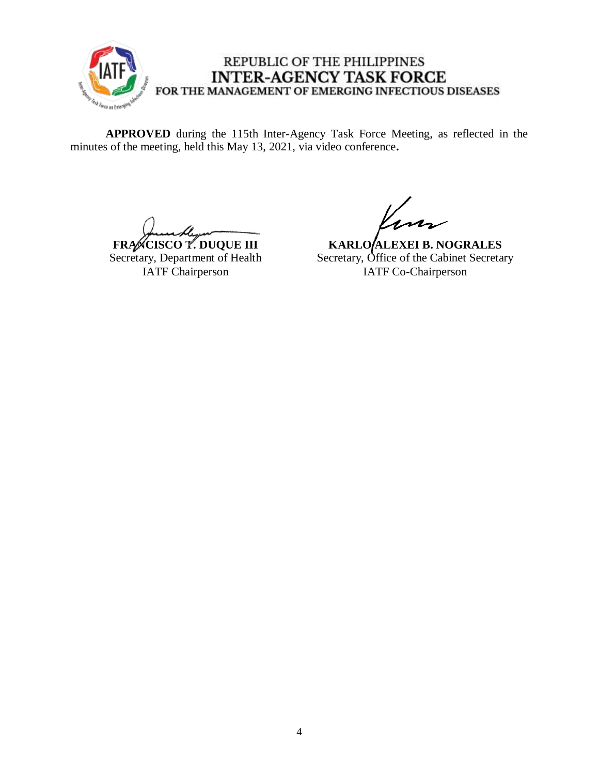

## REPUBLIC OF THE PHILIPPINES **INTER-AGENCY TASK FORCE** FOR THE MANAGEMENT OF EMERGING INFECTIOUS DISEASES

**APPROVED** during the 115th Inter-Agency Task Force Meeting, as reflected in the minutes of the meeting, held this May 13, 2021, via video conference**.**

**FRANCISCO T. DUQUE III** Secretary, Department of Health IATF Chairperson

**KARLO ALEXEI B. NOGRALES** Secretary, Office of the Cabinet Secretary IATF Co-Chairperson